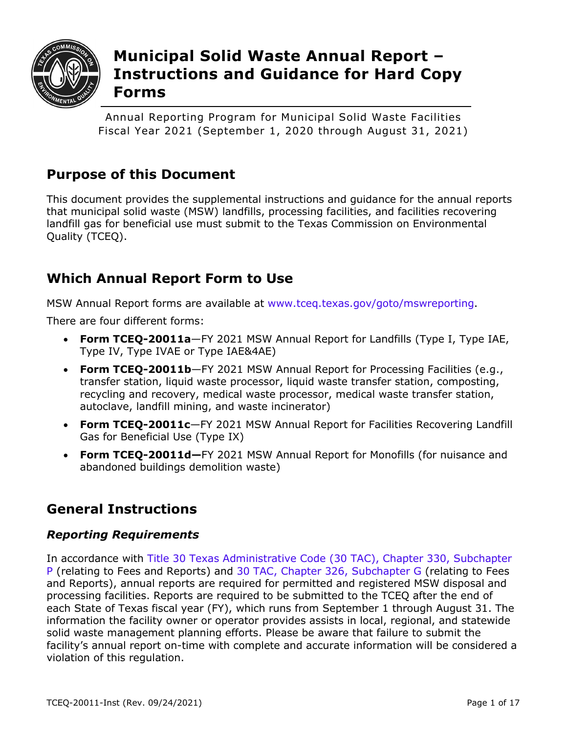

# **Municipal Solid Waste Annual Report – Instructions and Guidance for Hard Copy Forms**

Annual Reporting Program for Municipal Solid Waste Facilities Fiscal Year 2021 (September 1, 2020 through August 31, 2021)

# **Purpose of this Document**

This document provides the supplemental instructions and guidance for the annual reports that municipal solid waste (MSW) landfills, processing facilities, and facilities recovering landfill gas for beneficial use must submit to the Texas Commission on Environmental Quality (TCEQ).

# **Which Annual Report Form to Use**

MSW Annual Report forms are available at [www.tceq.texas.gov/goto/mswreporting.](http://www.tceq.texas.gov/goto/mswreporting)

There are four different forms:

- **Form TCEQ-20011a**—FY 2021 MSW Annual Report for Landfills (Type I, Type IAE, Type IV, Type IVAE or Type IAE&4AE)
- **Form TCEQ-20011b**—FY 2021 MSW Annual Report for Processing Facilities (e.g., transfer station, liquid waste processor, liquid waste transfer station, composting, recycling and recovery, medical waste processor, medical waste transfer station, autoclave, landfill mining, and waste incinerator)
- **Form TCEQ-20011c**—FY 2021 MSW Annual Report for Facilities Recovering Landfill Gas for Beneficial Use (Type IX)
- **Form TCEQ-20011d—**FY 2021 MSW Annual Report for Monofills (for nuisance and abandoned buildings demolition waste)

# **General Instructions**

# *Reporting Requirements*

In accordance with [Title 30 Texas Administrative Code \(30 TAC\), Chapter 330, Subchapter](http://texreg.sos.state.tx.us/public/readtac$ext.ViewTAC?tac_view=5&ti=30&pt=1&ch=330&sch=P&rl=Y)  [P](http://texreg.sos.state.tx.us/public/readtac$ext.ViewTAC?tac_view=5&ti=30&pt=1&ch=330&sch=P&rl=Y) (relating to Fees and Reports) and [30 TAC, Chapter 326, Subchapter G](https://texreg.sos.state.tx.us/public/readtac$ext.TacPage?sl=R&app=9&p_dir=&p_rloc=&p_tloc=&p_ploc=&pg=1&p_tac=&ti=30&pt=1&ch=326&rl=89) (relating to Fees and Reports), annual reports are required for permitted and registered MSW disposal and processing facilities. Reports are required to be submitted to the TCEQ after the end of each State of Texas fiscal year (FY), which runs from September 1 through August 31. The information the facility owner or operator provides assists in local, regional, and statewide solid waste management planning efforts. Please be aware that failure to submit the facility's annual report on-time with complete and accurate information will be considered a violation of this regulation.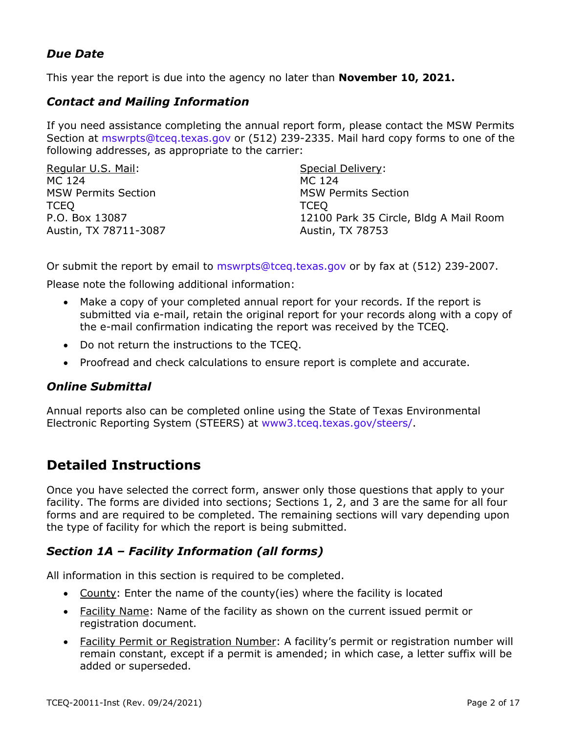## *Due Date*

This year the report is due into the agency no later than **November 10, 2021.**

#### *Contact and Mailing Information*

If you need assistance completing the annual report form, please contact the MSW Permits Section a[t mswrpts@tceq.texas.gov](mailto:mswrpts@tceq.texas.gov) or (512) 239-2335. Mail hard copy forms to one of the following addresses, as appropriate to the carrier:

| Regular U.S. Mail:         | Special Delivery:                      |
|----------------------------|----------------------------------------|
| MC 124                     | MC 124                                 |
| <b>MSW Permits Section</b> | <b>MSW Permits Section</b>             |
| <b>TCEO</b>                | <b>TCEO</b>                            |
| P.O. Box 13087             | 12100 Park 35 Circle, Bldg A Mail Room |
| Austin, TX 78711-3087      | Austin, TX 78753                       |

Or submit the report by email to [mswrpts@tceq.texas.gov](mailto:mswrpts@tceq.texas.gov) or by fax at (512) 239-2007.

Please note the following additional information:

- Make a copy of your completed annual report for your records. If the report is submitted via e-mail, retain the original report for your records along with a copy of the e-mail confirmation indicating the report was received by the TCEQ.
- Do not return the instructions to the TCEQ.
- Proofread and check calculations to ensure report is complete and accurate.

#### *Online Submittal*

Annual reports also can be completed online using the State of Texas Environmental Electronic Reporting System (STEERS) at [www3.tceq.texas.gov/steers/.](https://www3.tceq.texas.gov/steers/)

# **Detailed Instructions**

Once you have selected the correct form, answer only those questions that apply to your facility. The forms are divided into sections; Sections 1, 2, and 3 are the same for all four forms and are required to be completed. The remaining sections will vary depending upon the type of facility for which the report is being submitted.

## *Section 1A – Facility Information (all forms)*

All information in this section is required to be completed.

- County: Enter the name of the county(ies) where the facility is located
- Facility Name: Name of the facility as shown on the current issued permit or registration document.
- Facility Permit or Registration Number: A facility's permit or registration number will remain constant, except if a permit is amended; in which case, a letter suffix will be added or superseded.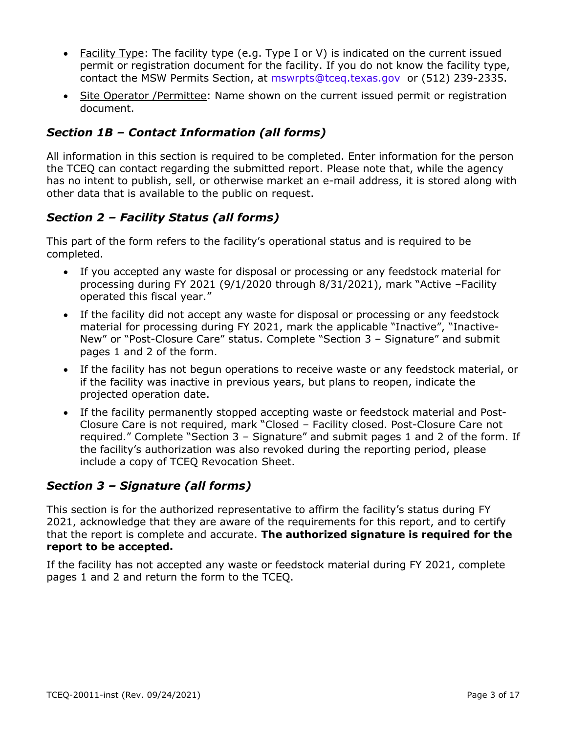- Facility Type: The facility type (e.g. Type I or V) is indicated on the current issued permit or registration document for the facility. If you do not know the facility type, contact the MSW Permits Section, at [mswrpts@tceq.texas.gov](mailto:mswrpts@tceq.texas.gov) or (512) 239-2335.
- Site Operator /Permittee: Name shown on the current issued permit or registration document.

# *Section 1B – Contact Information (all forms)*

All information in this section is required to be completed. Enter information for the person the TCEQ can contact regarding the submitted report. Please note that, while the agency has no intent to publish, sell, or otherwise market an e-mail address, it is stored along with other data that is available to the public on request.

# *Section 2 – Facility Status (all forms)*

This part of the form refers to the facility's operational status and is required to be completed.

- If you accepted any waste for disposal or processing or any feedstock material for processing during FY 2021 (9/1/2020 through 8/31/2021), mark "Active –Facility operated this fiscal year."
- If the facility did not accept any waste for disposal or processing or any feedstock material for processing during FY 2021, mark the applicable "Inactive", "Inactive-New" or "Post-Closure Care" status. Complete "Section 3 – Signature" and submit pages 1 and 2 of the form.
- If the facility has not begun operations to receive waste or any feedstock material, or if the facility was inactive in previous years, but plans to reopen, indicate the projected operation date.
- If the facility permanently stopped accepting waste or feedstock material and Post-Closure Care is not required, mark "Closed – Facility closed. Post-Closure Care not required." Complete "Section 3 – Signature" and submit pages 1 and 2 of the form. If the facility's authorization was also revoked during the reporting period, please include a copy of TCEQ Revocation Sheet.

# *Section 3 – Signature (all forms)*

This section is for the authorized representative to affirm the facility's status during FY 2021, acknowledge that they are aware of the requirements for this report, and to certify that the report is complete and accurate. **The authorized signature is required for the report to be accepted.**

If the facility has not accepted any waste or feedstock material during FY 2021, complete pages 1 and 2 and return the form to the TCEQ.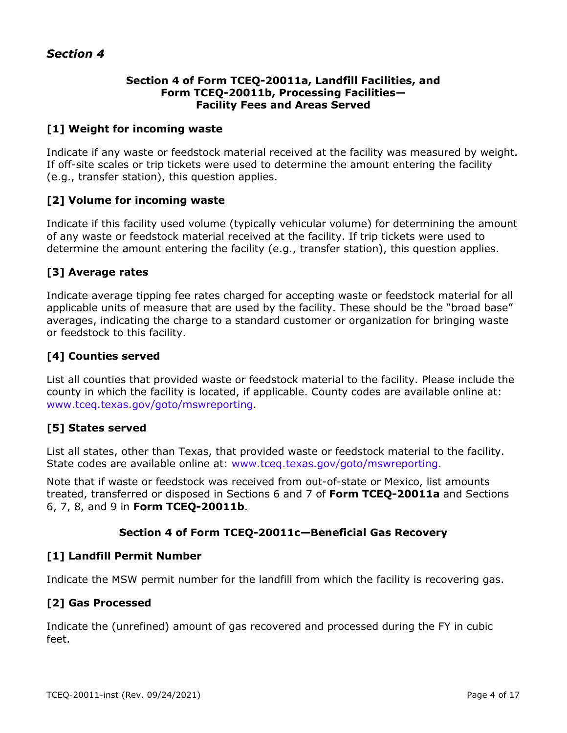#### **Section 4 of Form TCEQ-20011a, Landfill Facilities, and Form TCEQ-20011b, Processing Facilities— Facility Fees and Areas Served**

#### **[1] Weight for incoming waste**

Indicate if any waste or feedstock material received at the facility was measured by weight. If off-site scales or trip tickets were used to determine the amount entering the facility (e.g., transfer station), this question applies.

#### **[2] Volume for incoming waste**

Indicate if this facility used volume (typically vehicular volume) for determining the amount of any waste or feedstock material received at the facility. If trip tickets were used to determine the amount entering the facility (e.g., transfer station), this question applies.

#### **[3] Average rates**

Indicate average tipping fee rates charged for accepting waste or feedstock material for all applicable units of measure that are used by the facility. These should be the "broad base" averages, indicating the charge to a standard customer or organization for bringing waste or feedstock to this facility.

#### **[4] Counties served**

List all counties that provided waste or feedstock material to the facility. Please include the county in which the facility is located, if applicable. County codes are available online at: [www.tceq.texas.gov/goto/mswreporting.](http://www.tceq.texas.gov/goto/mswreporting)

#### **[5] States served**

List all states, other than Texas, that provided waste or feedstock material to the facility. State codes are available online at: [www.tceq.texas.gov/goto/mswreporting.](http://www.tceq.texas.gov/goto/mswreporting)

Note that if waste or feedstock was received from out-of-state or Mexico, list amounts treated, transferred or disposed in Sections 6 and 7 of **Form TCEQ-20011a** and Sections 6, 7, 8, and 9 in **Form TCEQ-20011b**.

#### **Section 4 of Form TCEQ-20011c—Beneficial Gas Recovery**

#### **[1] Landfill Permit Number**

Indicate the MSW permit number for the landfill from which the facility is recovering gas.

## **[2] Gas Processed**

Indicate the (unrefined) amount of gas recovered and processed during the FY in cubic feet.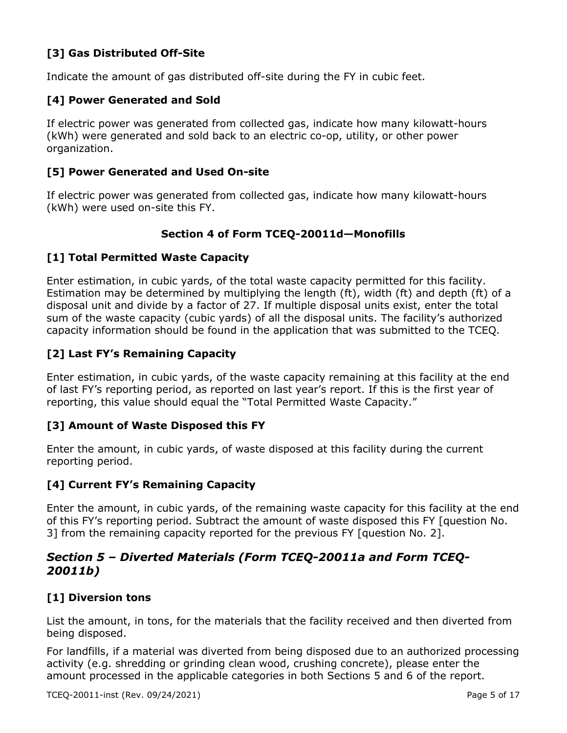## **[3] Gas Distributed Off-Site**

Indicate the amount of gas distributed off-site during the FY in cubic feet.

#### **[4] Power Generated and Sold**

If electric power was generated from collected gas, indicate how many kilowatt-hours (kWh) were generated and sold back to an electric co-op, utility, or other power organization.

#### **[5] Power Generated and Used On-site**

If electric power was generated from collected gas, indicate how many kilowatt-hours (kWh) were used on-site this FY.

#### **Section 4 of Form TCEQ-20011d—Monofills**

#### **[1] Total Permitted Waste Capacity**

Enter estimation, in cubic yards, of the total waste capacity permitted for this facility. Estimation may be determined by multiplying the length (ft), width (ft) and depth (ft) of a disposal unit and divide by a factor of 27. If multiple disposal units exist, enter the total sum of the waste capacity (cubic yards) of all the disposal units. The facility's authorized capacity information should be found in the application that was submitted to the TCEQ.

## **[2] Last FY's Remaining Capacity**

Enter estimation, in cubic yards, of the waste capacity remaining at this facility at the end of last FY's reporting period, as reported on last year's report. If this is the first year of reporting, this value should equal the "Total Permitted Waste Capacity."

#### **[3] Amount of Waste Disposed this FY**

Enter the amount, in cubic yards, of waste disposed at this facility during the current reporting period.

#### **[4] Current FY's Remaining Capacity**

Enter the amount, in cubic yards, of the remaining waste capacity for this facility at the end of this FY's reporting period. Subtract the amount of waste disposed this FY [question No. 3] from the remaining capacity reported for the previous FY [question No. 2].

## *Section 5 – Diverted Materials (Form TCEQ-20011a and Form TCEQ-20011b)*

## **[1] Diversion tons**

List the amount, in tons, for the materials that the facility received and then diverted from being disposed.

For landfills, if a material was diverted from being disposed due to an authorized processing activity (e.g. shredding or grinding clean wood, crushing concrete), please enter the amount processed in the applicable categories in both Sections 5 and 6 of the report.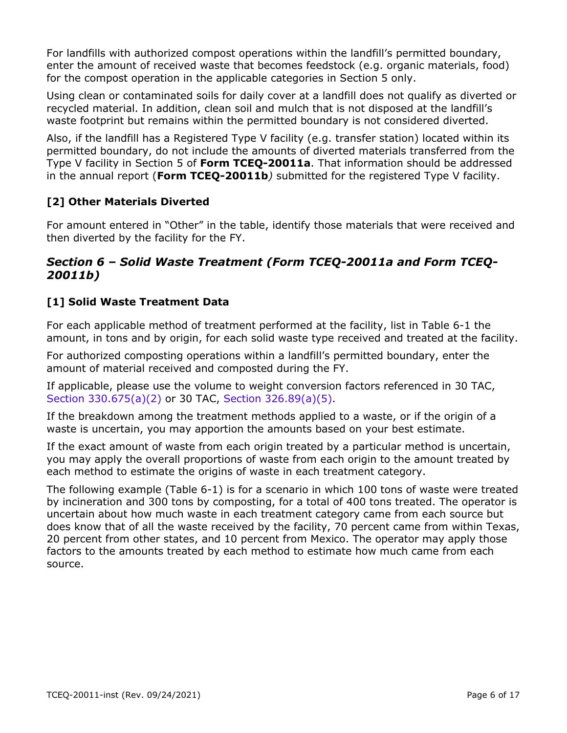For landfills with authorized compost operations within the landfill's permitted boundary, enter the amount of received waste that becomes feedstock (e.g. organic materials, food) for the compost operation in the applicable categories in Section 5 only.

Using clean or contaminated soils for daily cover at a landfill does not qualify as diverted or recycled material. In addition, clean soil and mulch that is not disposed at the landfill's waste footprint but remains within the permitted boundary is not considered diverted.

Also, if the landfill has a Registered Type V facility (e.g. transfer station) located within its permitted boundary, do not include the amounts of diverted materials transferred from the Type V facility in Section 5 of **Form TCEQ-20011a**. That information should be addressed in the annual report (**Form TCEQ-20011b***)* submitted for the registered Type V facility.

# **[2] Other Materials Diverted**

For amount entered in "Other" in the table, identify those materials that were received and then diverted by the facility for the FY.

## *Section 6 – Solid Waste Treatment (Form TCEQ-20011a and Form TCEQ-20011b)*

## **[1] Solid Waste Treatment Data**

For each applicable method of treatment performed at the facility, list in Table 6-1 the amount, in tons and by origin, for each solid waste type received and treated at the facility.

For authorized composting operations within a landfill's permitted boundary, enter the amount of material received and composted during the FY.

If applicable, please use the volume to weight conversion factors referenced in 30 TAC, [Section 330.675\(a\)\(2\)](https://texreg.sos.state.tx.us/public/readtac$ext.TacPage?sl=R&app=9&p_dir=&p_rloc=&p_tloc=&p_ploc=&pg=1&p_tac=&ti=30&pt=1&ch=330&rl=675) or 30 TAC, [Section 326.89\(a\)\(5\).](https://texreg.sos.state.tx.us/public/readtac$ext.TacPage?sl=R&app=9&p_dir=&p_rloc=&p_tloc=&p_ploc=&pg=1&p_tac=&ti=30&pt=1&ch=326&rl=89)

If the breakdown among the treatment methods applied to a waste, or if the origin of a waste is uncertain, you may apportion the amounts based on your best estimate.

If the exact amount of waste from each origin treated by a particular method is uncertain, you may apply the overall proportions of waste from each origin to the amount treated by each method to estimate the origins of waste in each treatment category.

The following example (Table 6-1) is for a scenario in which 100 tons of waste were treated by incineration and 300 tons by composting, for a total of 400 tons treated. The operator is uncertain about how much waste in each treatment category came from each source but does know that of all the waste received by the facility, 70 percent came from within Texas, 20 percent from other states, and 10 percent from Mexico. The operator may apply those factors to the amounts treated by each method to estimate how much came from each source.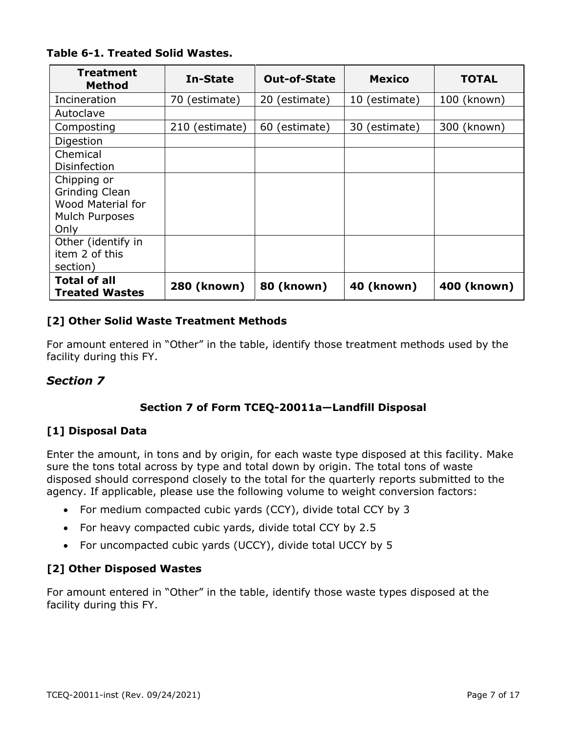| <b>Treatment</b><br><b>Method</b>            | In-State       | <b>Out-of-State</b> | <b>Mexico</b>     | <b>TOTAL</b> |
|----------------------------------------------|----------------|---------------------|-------------------|--------------|
| Incineration                                 | 70 (estimate)  | 20 (estimate)       | 10 (estimate)     | 100 (known)  |
| Autoclave                                    |                |                     |                   |              |
| Composting                                   | 210 (estimate) | 60 (estimate)       | 30 (estimate)     | 300 (known)  |
| Digestion                                    |                |                     |                   |              |
| Chemical                                     |                |                     |                   |              |
| <b>Disinfection</b>                          |                |                     |                   |              |
| Chipping or                                  |                |                     |                   |              |
| Grinding Clean                               |                |                     |                   |              |
| <b>Wood Material for</b>                     |                |                     |                   |              |
| Mulch Purposes                               |                |                     |                   |              |
| Only                                         |                |                     |                   |              |
| Other (identify in                           |                |                     |                   |              |
| item 2 of this                               |                |                     |                   |              |
| section)                                     |                |                     |                   |              |
| <b>Total of all</b><br><b>Treated Wastes</b> | 280 (known)    | <b>80 (known)</b>   | <b>40 (known)</b> | 400 (known)  |

#### **[2] Other Solid Waste Treatment Methods**

For amount entered in "Other" in the table, identify those treatment methods used by the facility during this FY.

## *Section 7*

## **Section 7 of Form TCEQ-20011a—Landfill Disposal**

## **[1] Disposal Data**

Enter the amount, in tons and by origin, for each waste type disposed at this facility. Make sure the tons total across by type and total down by origin. The total tons of waste disposed should correspond closely to the total for the quarterly reports submitted to the agency. If applicable, please use the following volume to weight conversion factors:

- For medium compacted cubic yards (CCY), divide total CCY by 3
- For heavy compacted cubic yards, divide total CCY by 2.5
- For uncompacted cubic yards (UCCY), divide total UCCY by 5

## **[2] Other Disposed Wastes**

For amount entered in "Other" in the table, identify those waste types disposed at the facility during this FY.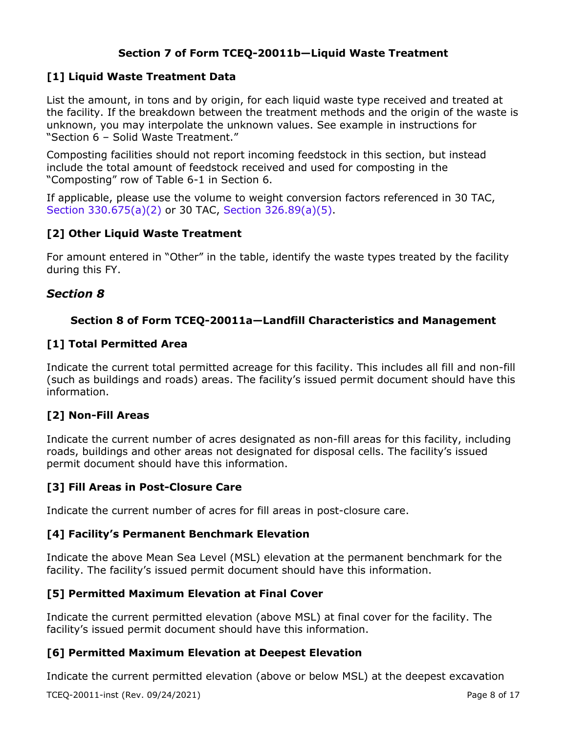## **Section 7 of Form TCEQ-20011b—Liquid Waste Treatment**

#### **[1] Liquid Waste Treatment Data**

List the amount, in tons and by origin, for each liquid waste type received and treated at the facility. If the breakdown between the treatment methods and the origin of the waste is unknown, you may interpolate the unknown values. See example in instructions for "Section 6 – Solid Waste Treatment."

Composting facilities should not report incoming feedstock in this section, but instead include the total amount of feedstock received and used for composting in the "Composting" row of Table 6-1 in Section 6.

If applicable, please use the volume to weight conversion factors referenced in 30 TAC, [Section 330.675\(a\)\(2\)](https://texreg.sos.state.tx.us/public/readtac$ext.TacPage?sl=R&app=9&p_dir=&p_rloc=&p_tloc=&p_ploc=&pg=1&p_tac=&ti=30&pt=1&ch=330&rl=675) or 30 TAC, [Section 326.89\(a\)\(5\).](https://texreg.sos.state.tx.us/public/readtac$ext.TacPage?sl=R&app=9&p_dir=&p_rloc=&p_tloc=&p_ploc=&pg=1&p_tac=&ti=30&pt=1&ch=326&rl=89)

#### **[2] Other Liquid Waste Treatment**

For amount entered in "Other" in the table, identify the waste types treated by the facility during this FY.

#### *Section 8*

#### **Section 8 of Form TCEQ-20011a—Landfill Characteristics and Management**

#### **[1] Total Permitted Area**

Indicate the current total permitted acreage for this facility. This includes all fill and non-fill (such as buildings and roads) areas. The facility's issued permit document should have this information.

#### **[2] Non-Fill Areas**

Indicate the current number of acres designated as non-fill areas for this facility, including roads, buildings and other areas not designated for disposal cells. The facility's issued permit document should have this information.

#### **[3] Fill Areas in Post-Closure Care**

Indicate the current number of acres for fill areas in post-closure care.

#### **[4] Facility's Permanent Benchmark Elevation**

Indicate the above Mean Sea Level (MSL) elevation at the permanent benchmark for the facility. The facility's issued permit document should have this information.

#### **[5] Permitted Maximum Elevation at Final Cover**

Indicate the current permitted elevation (above MSL) at final cover for the facility. The facility's issued permit document should have this information.

#### **[6] Permitted Maximum Elevation at Deepest Elevation**

Indicate the current permitted elevation (above or below MSL) at the deepest excavation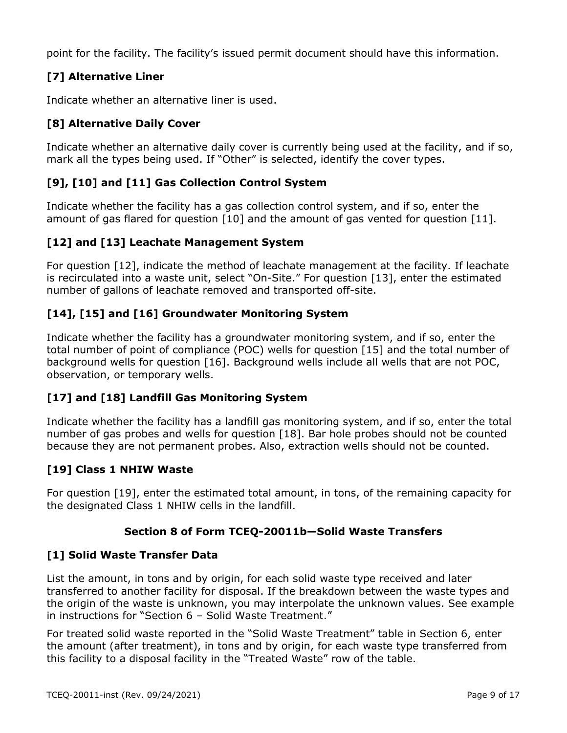point for the facility. The facility's issued permit document should have this information.

## **[7] Alternative Liner**

Indicate whether an alternative liner is used.

## **[8] Alternative Daily Cover**

Indicate whether an alternative daily cover is currently being used at the facility, and if so, mark all the types being used. If "Other" is selected, identify the cover types.

## **[9], [10] and [11] Gas Collection Control System**

Indicate whether the facility has a gas collection control system, and if so, enter the amount of gas flared for question [10] and the amount of gas vented for question [11].

## **[12] and [13] Leachate Management System**

For question [12], indicate the method of leachate management at the facility. If leachate is recirculated into a waste unit, select "On-Site." For question [13], enter the estimated number of gallons of leachate removed and transported off-site.

## **[14], [15] and [16] Groundwater Monitoring System**

Indicate whether the facility has a groundwater monitoring system, and if so, enter the total number of point of compliance (POC) wells for question [15] and the total number of background wells for question [16]. Background wells include all wells that are not POC, observation, or temporary wells.

## **[17] and [18] Landfill Gas Monitoring System**

Indicate whether the facility has a landfill gas monitoring system, and if so, enter the total number of gas probes and wells for question [18]. Bar hole probes should not be counted because they are not permanent probes. Also, extraction wells should not be counted.

## **[19] Class 1 NHIW Waste**

For question [19], enter the estimated total amount, in tons, of the remaining capacity for the designated Class 1 NHIW cells in the landfill.

## **Section 8 of Form TCEQ-20011b—Solid Waste Transfers**

## **[1] Solid Waste Transfer Data**

List the amount, in tons and by origin, for each solid waste type received and later transferred to another facility for disposal. If the breakdown between the waste types and the origin of the waste is unknown, you may interpolate the unknown values. See example in instructions for "Section 6 – Solid Waste Treatment."

For treated solid waste reported in the "Solid Waste Treatment" table in Section 6, enter the amount (after treatment), in tons and by origin, for each waste type transferred from this facility to a disposal facility in the "Treated Waste" row of the table.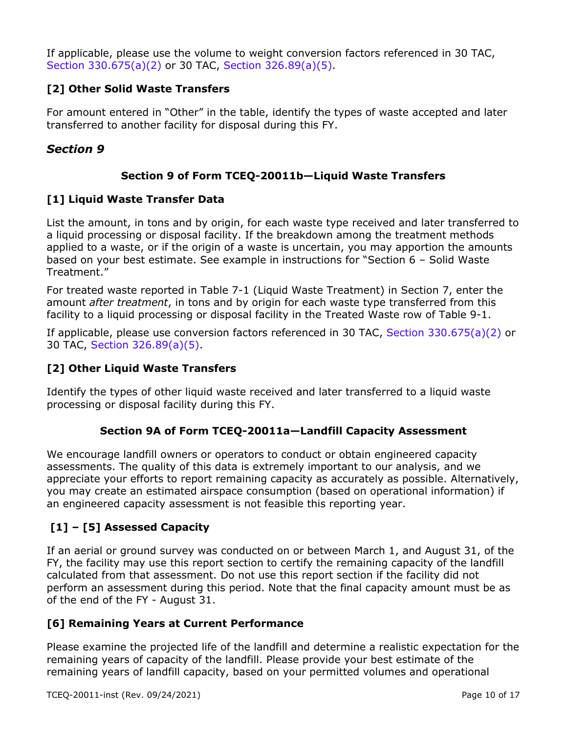If applicable, please use the volume to weight conversion factors referenced in 30 TAC, [Section 330.675\(a\)\(2\)](https://texreg.sos.state.tx.us/public/readtac$ext.TacPage?sl=R&app=9&p_dir=&p_rloc=&p_tloc=&p_ploc=&pg=1&p_tac=&ti=30&pt=1&ch=330&rl=675) or 30 TAC, [Section 326.89\(a\)\(5\).](https://texreg.sos.state.tx.us/public/readtac$ext.TacPage?sl=R&app=9&p_dir=&p_rloc=&p_tloc=&p_ploc=&pg=1&p_tac=&ti=30&pt=1&ch=326&rl=89)

## **[2] Other Solid Waste Transfers**

For amount entered in "Other" in the table, identify the types of waste accepted and later transferred to another facility for disposal during this FY.

# *Section 9*

## **Section 9 of Form TCEQ-20011b—Liquid Waste Transfers**

## **[1] Liquid Waste Transfer Data**

List the amount, in tons and by origin, for each waste type received and later transferred to a liquid processing or disposal facility. If the breakdown among the treatment methods applied to a waste, or if the origin of a waste is uncertain, you may apportion the amounts based on your best estimate. See example in instructions for "Section 6 – Solid Waste Treatment."

For treated waste reported in Table 7-1 (Liquid Waste Treatment) in Section 7, enter the amount *after treatment*, in tons and by origin for each waste type transferred from this facility to a liquid processing or disposal facility in the Treated Waste row of Table 9-1.

If applicable, please use conversion factors referenced in 30 TAC, [Section 330.675\(a\)\(2\)](https://texreg.sos.state.tx.us/public/readtac$ext.TacPage?sl=R&app=9&p_dir=&p_rloc=&p_tloc=&p_ploc=&pg=1&p_tac=&ti=30&pt=1&ch=330&rl=675) or 30 TAC, [Section 326.89\(a\)\(5\).](https://texreg.sos.state.tx.us/public/readtac$ext.TacPage?sl=R&app=9&p_dir=&p_rloc=&p_tloc=&p_ploc=&pg=1&p_tac=&ti=30&pt=1&ch=326&rl=89)

## **[2] Other Liquid Waste Transfers**

Identify the types of other liquid waste received and later transferred to a liquid waste processing or disposal facility during this FY.

## **Section 9A of Form TCEQ-20011a—Landfill Capacity Assessment**

We encourage landfill owners or operators to conduct or obtain engineered capacity assessments. The quality of this data is extremely important to our analysis, and we appreciate your efforts to report remaining capacity as accurately as possible. Alternatively, you may create an estimated airspace consumption (based on operational information) if an engineered capacity assessment is not feasible this reporting year.

# **[1] – [5] Assessed Capacity**

If an aerial or ground survey was conducted on or between March 1, and August 31, of the FY, the facility may use this report section to certify the remaining capacity of the landfill calculated from that assessment. Do not use this report section if the facility did not perform an assessment during this period. Note that the final capacity amount must be as of the end of the FY - August 31.

## **[6] Remaining Years at Current Performance**

Please examine the projected life of the landfill and determine a realistic expectation for the remaining years of capacity of the landfill. Please provide your best estimate of the remaining years of landfill capacity, based on your permitted volumes and operational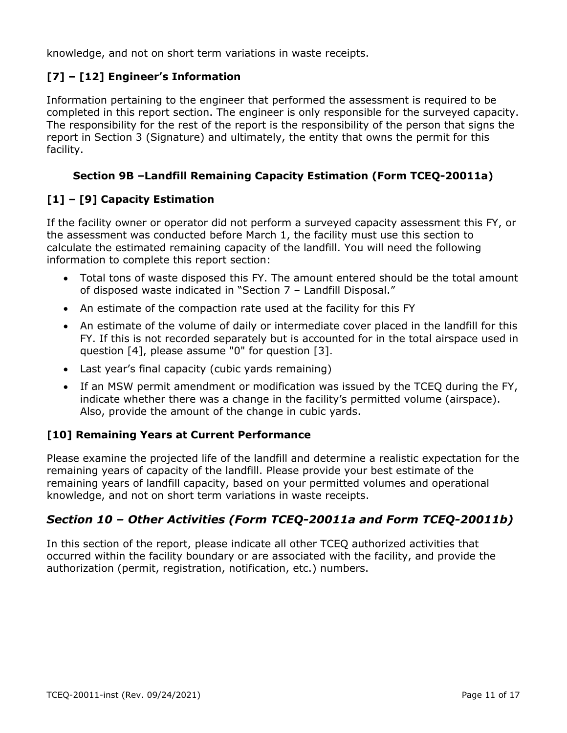knowledge, and not on short term variations in waste receipts.

## **[7] – [12] Engineer's Information**

Information pertaining to the engineer that performed the assessment is required to be completed in this report section. The engineer is only responsible for the surveyed capacity. The responsibility for the rest of the report is the responsibility of the person that signs the report in Section 3 (Signature) and ultimately, the entity that owns the permit for this facility.

#### **Section 9B –Landfill Remaining Capacity Estimation (Form TCEQ-20011a)**

## **[1] – [9] Capacity Estimation**

If the facility owner or operator did not perform a surveyed capacity assessment this FY, or the assessment was conducted before March 1, the facility must use this section to calculate the estimated remaining capacity of the landfill. You will need the following information to complete this report section:

- Total tons of waste disposed this FY. The amount entered should be the total amount of disposed waste indicated in "Section 7 – Landfill Disposal."
- An estimate of the compaction rate used at the facility for this FY
- An estimate of the volume of daily or intermediate cover placed in the landfill for this FY. If this is not recorded separately but is accounted for in the total airspace used in question [4], please assume "0" for question [3].
- Last year's final capacity (cubic yards remaining)
- If an MSW permit amendment or modification was issued by the TCEQ during the FY, indicate whether there was a change in the facility's permitted volume (airspace). Also, provide the amount of the change in cubic yards.

#### **[10] Remaining Years at Current Performance**

Please examine the projected life of the landfill and determine a realistic expectation for the remaining years of capacity of the landfill. Please provide your best estimate of the remaining years of landfill capacity, based on your permitted volumes and operational knowledge, and not on short term variations in waste receipts.

# *Section 10 – Other Activities (Form TCEQ-20011a and Form TCEQ-20011b)*

In this section of the report, please indicate all other TCEQ authorized activities that occurred within the facility boundary or are associated with the facility, and provide the authorization (permit, registration, notification, etc.) numbers.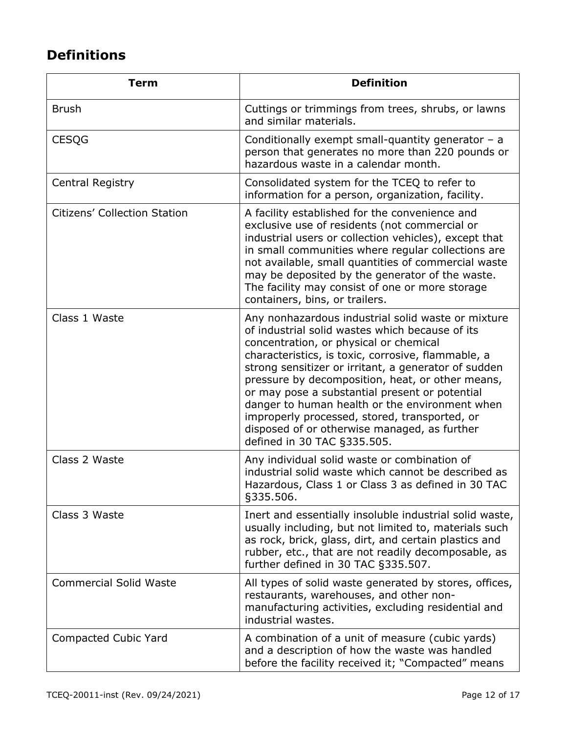# **Definitions**

| <b>Term</b>                   | <b>Definition</b>                                                                                                                                                                                                                                                                                                                                                                                                                                                                                                                                     |
|-------------------------------|-------------------------------------------------------------------------------------------------------------------------------------------------------------------------------------------------------------------------------------------------------------------------------------------------------------------------------------------------------------------------------------------------------------------------------------------------------------------------------------------------------------------------------------------------------|
| <b>Brush</b>                  | Cuttings or trimmings from trees, shrubs, or lawns<br>and similar materials.                                                                                                                                                                                                                                                                                                                                                                                                                                                                          |
| <b>CESQG</b>                  | Conditionally exempt small-quantity generator $-$ a<br>person that generates no more than 220 pounds or<br>hazardous waste in a calendar month.                                                                                                                                                                                                                                                                                                                                                                                                       |
| Central Registry              | Consolidated system for the TCEQ to refer to<br>information for a person, organization, facility.                                                                                                                                                                                                                                                                                                                                                                                                                                                     |
| Citizens' Collection Station  | A facility established for the convenience and<br>exclusive use of residents (not commercial or<br>industrial users or collection vehicles), except that<br>in small communities where regular collections are<br>not available, small quantities of commercial waste<br>may be deposited by the generator of the waste.<br>The facility may consist of one or more storage<br>containers, bins, or trailers.                                                                                                                                         |
| Class 1 Waste                 | Any nonhazardous industrial solid waste or mixture<br>of industrial solid wastes which because of its<br>concentration, or physical or chemical<br>characteristics, is toxic, corrosive, flammable, a<br>strong sensitizer or irritant, a generator of sudden<br>pressure by decomposition, heat, or other means,<br>or may pose a substantial present or potential<br>danger to human health or the environment when<br>improperly processed, stored, transported, or<br>disposed of or otherwise managed, as further<br>defined in 30 TAC §335.505. |
| Class 2 Waste                 | Any individual solid waste or combination of<br>industrial solid waste which cannot be described as<br>Hazardous, Class 1 or Class 3 as defined in 30 TAC<br>§335.506.                                                                                                                                                                                                                                                                                                                                                                                |
| Class 3 Waste                 | Inert and essentially insoluble industrial solid waste,<br>usually including, but not limited to, materials such<br>as rock, brick, glass, dirt, and certain plastics and<br>rubber, etc., that are not readily decomposable, as<br>further defined in 30 TAC §335.507.                                                                                                                                                                                                                                                                               |
| <b>Commercial Solid Waste</b> | All types of solid waste generated by stores, offices,<br>restaurants, warehouses, and other non-<br>manufacturing activities, excluding residential and<br>industrial wastes.                                                                                                                                                                                                                                                                                                                                                                        |
| Compacted Cubic Yard          | A combination of a unit of measure (cubic yards)<br>and a description of how the waste was handled<br>before the facility received it; "Compacted" means                                                                                                                                                                                                                                                                                                                                                                                              |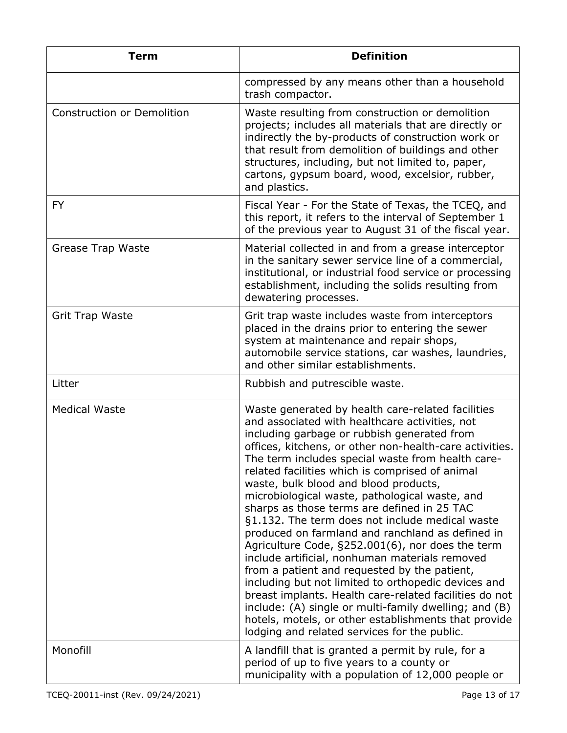| <b>Term</b>                       | <b>Definition</b>                                                                                                                                                                                                                                                                                                                                                                                                                                                                                                                                                                                                                                                                                                                                                                                                                                                                                                                                                                                              |
|-----------------------------------|----------------------------------------------------------------------------------------------------------------------------------------------------------------------------------------------------------------------------------------------------------------------------------------------------------------------------------------------------------------------------------------------------------------------------------------------------------------------------------------------------------------------------------------------------------------------------------------------------------------------------------------------------------------------------------------------------------------------------------------------------------------------------------------------------------------------------------------------------------------------------------------------------------------------------------------------------------------------------------------------------------------|
|                                   | compressed by any means other than a household<br>trash compactor.                                                                                                                                                                                                                                                                                                                                                                                                                                                                                                                                                                                                                                                                                                                                                                                                                                                                                                                                             |
| <b>Construction or Demolition</b> | Waste resulting from construction or demolition<br>projects; includes all materials that are directly or<br>indirectly the by-products of construction work or<br>that result from demolition of buildings and other<br>structures, including, but not limited to, paper,<br>cartons, gypsum board, wood, excelsior, rubber,<br>and plastics.                                                                                                                                                                                                                                                                                                                                                                                                                                                                                                                                                                                                                                                                  |
| <b>FY</b>                         | Fiscal Year - For the State of Texas, the TCEQ, and<br>this report, it refers to the interval of September 1<br>of the previous year to August 31 of the fiscal year.                                                                                                                                                                                                                                                                                                                                                                                                                                                                                                                                                                                                                                                                                                                                                                                                                                          |
| Grease Trap Waste                 | Material collected in and from a grease interceptor<br>in the sanitary sewer service line of a commercial,<br>institutional, or industrial food service or processing<br>establishment, including the solids resulting from<br>dewatering processes.                                                                                                                                                                                                                                                                                                                                                                                                                                                                                                                                                                                                                                                                                                                                                           |
| <b>Grit Trap Waste</b>            | Grit trap waste includes waste from interceptors<br>placed in the drains prior to entering the sewer<br>system at maintenance and repair shops,<br>automobile service stations, car washes, laundries,<br>and other similar establishments.                                                                                                                                                                                                                                                                                                                                                                                                                                                                                                                                                                                                                                                                                                                                                                    |
| Litter                            | Rubbish and putrescible waste.                                                                                                                                                                                                                                                                                                                                                                                                                                                                                                                                                                                                                                                                                                                                                                                                                                                                                                                                                                                 |
| <b>Medical Waste</b>              | Waste generated by health care-related facilities<br>and associated with healthcare activities, not<br>including garbage or rubbish generated from<br>offices, kitchens, or other non-health-care activities.<br>The term includes special waste from health care-<br>related facilities which is comprised of animal<br>waste, bulk blood and blood products,<br>microbiological waste, pathological waste, and<br>sharps as those terms are defined in 25 TAC<br>§1.132. The term does not include medical waste<br>produced on farmland and ranchland as defined in<br>Agriculture Code, §252.001(6), nor does the term<br>include artificial, nonhuman materials removed<br>from a patient and requested by the patient,<br>including but not limited to orthopedic devices and<br>breast implants. Health care-related facilities do not<br>include: (A) single or multi-family dwelling; and (B)<br>hotels, motels, or other establishments that provide<br>lodging and related services for the public. |
| Monofill                          | A landfill that is granted a permit by rule, for a<br>period of up to five years to a county or<br>municipality with a population of 12,000 people or                                                                                                                                                                                                                                                                                                                                                                                                                                                                                                                                                                                                                                                                                                                                                                                                                                                          |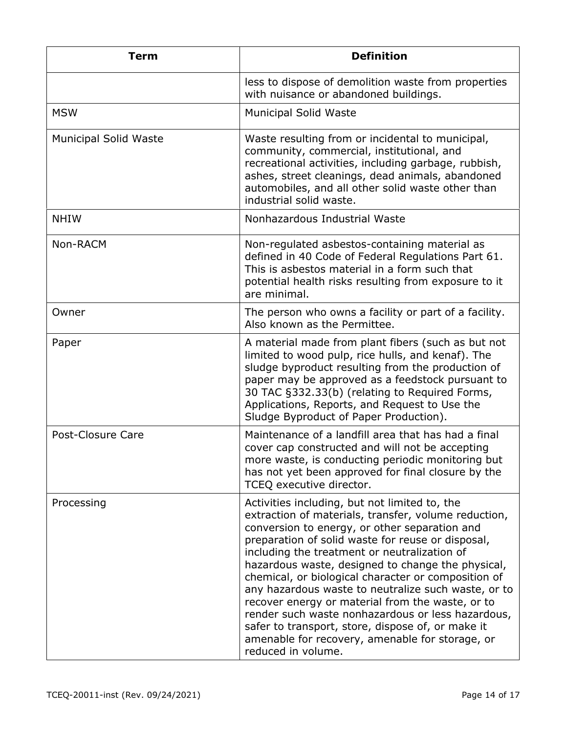| <b>Term</b>                  | <b>Definition</b>                                                                                                                                                                                                                                                                                                                                                                                                                                                                                                                                                                                                                                                     |
|------------------------------|-----------------------------------------------------------------------------------------------------------------------------------------------------------------------------------------------------------------------------------------------------------------------------------------------------------------------------------------------------------------------------------------------------------------------------------------------------------------------------------------------------------------------------------------------------------------------------------------------------------------------------------------------------------------------|
|                              | less to dispose of demolition waste from properties<br>with nuisance or abandoned buildings.                                                                                                                                                                                                                                                                                                                                                                                                                                                                                                                                                                          |
| <b>MSW</b>                   | <b>Municipal Solid Waste</b>                                                                                                                                                                                                                                                                                                                                                                                                                                                                                                                                                                                                                                          |
| <b>Municipal Solid Waste</b> | Waste resulting from or incidental to municipal,<br>community, commercial, institutional, and<br>recreational activities, including garbage, rubbish,<br>ashes, street cleanings, dead animals, abandoned<br>automobiles, and all other solid waste other than<br>industrial solid waste.                                                                                                                                                                                                                                                                                                                                                                             |
| <b>NHIW</b>                  | Nonhazardous Industrial Waste                                                                                                                                                                                                                                                                                                                                                                                                                                                                                                                                                                                                                                         |
| Non-RACM                     | Non-regulated asbestos-containing material as<br>defined in 40 Code of Federal Regulations Part 61.<br>This is asbestos material in a form such that<br>potential health risks resulting from exposure to it<br>are minimal.                                                                                                                                                                                                                                                                                                                                                                                                                                          |
| Owner                        | The person who owns a facility or part of a facility.<br>Also known as the Permittee.                                                                                                                                                                                                                                                                                                                                                                                                                                                                                                                                                                                 |
| Paper                        | A material made from plant fibers (such as but not<br>limited to wood pulp, rice hulls, and kenaf). The<br>sludge byproduct resulting from the production of<br>paper may be approved as a feedstock pursuant to<br>30 TAC §332.33(b) (relating to Required Forms,<br>Applications, Reports, and Request to Use the<br>Sludge Byproduct of Paper Production).                                                                                                                                                                                                                                                                                                         |
| Post-Closure Care            | Maintenance of a landfill area that has had a final<br>cover cap constructed and will not be accepting<br>more waste, is conducting periodic monitoring but<br>has not yet been approved for final closure by the<br>TCEQ executive director.                                                                                                                                                                                                                                                                                                                                                                                                                         |
| Processing                   | Activities including, but not limited to, the<br>extraction of materials, transfer, volume reduction,<br>conversion to energy, or other separation and<br>preparation of solid waste for reuse or disposal,<br>including the treatment or neutralization of<br>hazardous waste, designed to change the physical,<br>chemical, or biological character or composition of<br>any hazardous waste to neutralize such waste, or to<br>recover energy or material from the waste, or to<br>render such waste nonhazardous or less hazardous,<br>safer to transport, store, dispose of, or make it<br>amenable for recovery, amenable for storage, or<br>reduced in volume. |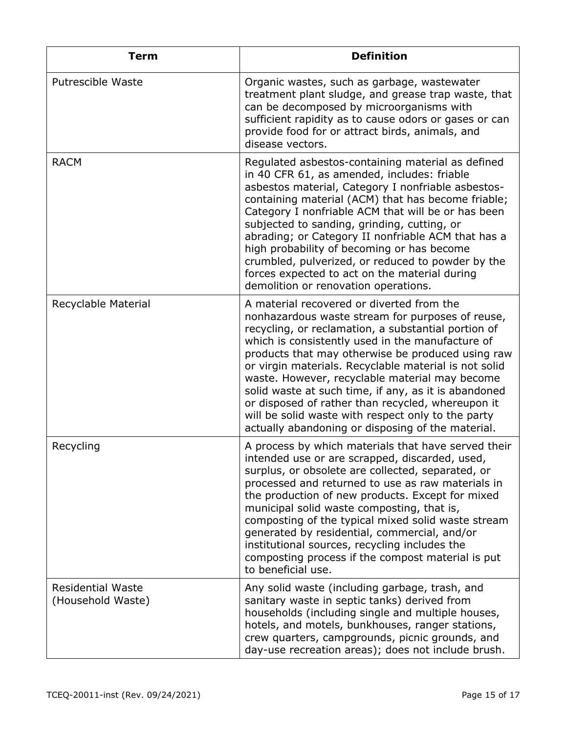| <b>Term</b>                                   | <b>Definition</b>                                                                                                                                                                                                                                                                                                                                                                                                                                                                                                                                                                                |
|-----------------------------------------------|--------------------------------------------------------------------------------------------------------------------------------------------------------------------------------------------------------------------------------------------------------------------------------------------------------------------------------------------------------------------------------------------------------------------------------------------------------------------------------------------------------------------------------------------------------------------------------------------------|
| <b>Putrescible Waste</b>                      | Organic wastes, such as garbage, wastewater<br>treatment plant sludge, and grease trap waste, that<br>can be decomposed by microorganisms with<br>sufficient rapidity as to cause odors or gases or can<br>provide food for or attract birds, animals, and<br>disease vectors.                                                                                                                                                                                                                                                                                                                   |
| <b>RACM</b>                                   | Regulated asbestos-containing material as defined<br>in 40 CFR 61, as amended, includes: friable<br>asbestos material, Category I nonfriable asbestos-<br>containing material (ACM) that has become friable;<br>Category I nonfriable ACM that will be or has been<br>subjected to sanding, grinding, cutting, or<br>abrading; or Category II nonfriable ACM that has a<br>high probability of becoming or has become<br>crumbled, pulverized, or reduced to powder by the<br>forces expected to act on the material during<br>demolition or renovation operations.                              |
| Recyclable Material                           | A material recovered or diverted from the<br>nonhazardous waste stream for purposes of reuse,<br>recycling, or reclamation, a substantial portion of<br>which is consistently used in the manufacture of<br>products that may otherwise be produced using raw<br>or virgin materials. Recyclable material is not solid<br>waste. However, recyclable material may become<br>solid waste at such time, if any, as it is abandoned<br>or disposed of rather than recycled, whereupon it<br>will be solid waste with respect only to the party<br>actually abandoning or disposing of the material. |
| Recycling                                     | A process by which materials that have served their<br>intended use or are scrapped, discarded, used<br>surplus, or obsolete are collected, separated, or<br>processed and returned to use as raw materials in<br>the production of new products. Except for mixed<br>municipal solid waste composting, that is,<br>composting of the typical mixed solid waste stream<br>generated by residential, commercial, and/or<br>institutional sources, recycling includes the<br>composting process if the compost material is put<br>to beneficial use.                                               |
| <b>Residential Waste</b><br>(Household Waste) | Any solid waste (including garbage, trash, and<br>sanitary waste in septic tanks) derived from<br>households (including single and multiple houses,<br>hotels, and motels, bunkhouses, ranger stations,<br>crew quarters, campgrounds, picnic grounds, and<br>day-use recreation areas); does not include brush.                                                                                                                                                                                                                                                                                 |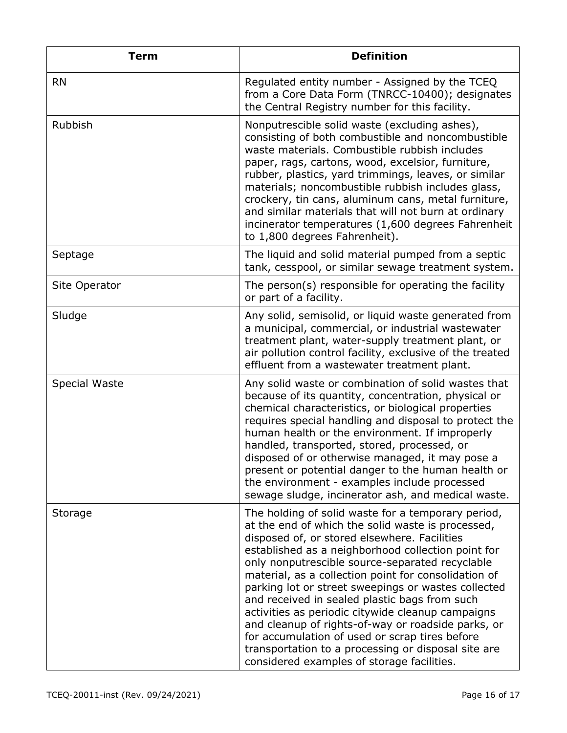| <b>Term</b>    | <b>Definition</b>                                                                                                                                                                                                                                                                                                                                                                                                                                                                                                                                                                                                                                                                                  |
|----------------|----------------------------------------------------------------------------------------------------------------------------------------------------------------------------------------------------------------------------------------------------------------------------------------------------------------------------------------------------------------------------------------------------------------------------------------------------------------------------------------------------------------------------------------------------------------------------------------------------------------------------------------------------------------------------------------------------|
| <b>RN</b>      | Regulated entity number - Assigned by the TCEQ<br>from a Core Data Form (TNRCC-10400); designates<br>the Central Registry number for this facility.                                                                                                                                                                                                                                                                                                                                                                                                                                                                                                                                                |
| <b>Rubbish</b> | Nonputrescible solid waste (excluding ashes),<br>consisting of both combustible and noncombustible<br>waste materials. Combustible rubbish includes<br>paper, rags, cartons, wood, excelsior, furniture,<br>rubber, plastics, yard trimmings, leaves, or similar<br>materials; noncombustible rubbish includes glass,<br>crockery, tin cans, aluminum cans, metal furniture,<br>and similar materials that will not burn at ordinary<br>incinerator temperatures (1,600 degrees Fahrenheit<br>to 1,800 degrees Fahrenheit).                                                                                                                                                                        |
| Septage        | The liquid and solid material pumped from a septic<br>tank, cesspool, or similar sewage treatment system.                                                                                                                                                                                                                                                                                                                                                                                                                                                                                                                                                                                          |
| Site Operator  | The person(s) responsible for operating the facility<br>or part of a facility.                                                                                                                                                                                                                                                                                                                                                                                                                                                                                                                                                                                                                     |
| Sludge         | Any solid, semisolid, or liquid waste generated from<br>a municipal, commercial, or industrial wastewater<br>treatment plant, water-supply treatment plant, or<br>air pollution control facility, exclusive of the treated<br>effluent from a wastewater treatment plant.                                                                                                                                                                                                                                                                                                                                                                                                                          |
| Special Waste  | Any solid waste or combination of solid wastes that<br>because of its quantity, concentration, physical or<br>chemical characteristics, or biological properties<br>requires special handling and disposal to protect the<br>human health or the environment. If improperly<br>handled, transported, stored, processed, or<br>disposed of or otherwise managed, it may pose a<br>present or potential danger to the human health or<br>the environment - examples include processed<br>sewage sludge, incinerator ash, and medical waste.                                                                                                                                                          |
| Storage        | The holding of solid waste for a temporary period,<br>at the end of which the solid waste is processed,<br>disposed of, or stored elsewhere. Facilities<br>established as a neighborhood collection point for<br>only nonputrescible source-separated recyclable<br>material, as a collection point for consolidation of<br>parking lot or street sweepings or wastes collected<br>and received in sealed plastic bags from such<br>activities as periodic citywide cleanup campaigns<br>and cleanup of rights-of-way or roadside parks, or<br>for accumulation of used or scrap tires before<br>transportation to a processing or disposal site are<br>considered examples of storage facilities. |